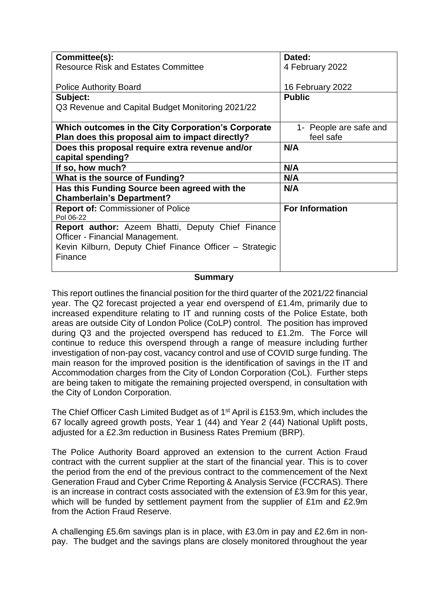| Committee(s):                                           | Dated:                 |
|---------------------------------------------------------|------------------------|
| <b>Resource Risk and Estates Committee</b>              | 4 February 2022        |
|                                                         |                        |
| <b>Police Authority Board</b>                           | 16 February 2022       |
|                                                         |                        |
| Subject:                                                | <b>Public</b>          |
| Q3 Revenue and Capital Budget Monitoring 2021/22        |                        |
|                                                         |                        |
| Which outcomes in the City Corporation's Corporate      | 1- People are safe and |
| Plan does this proposal aim to impact directly?         | feel safe              |
|                                                         |                        |
| Does this proposal require extra revenue and/or         | N/A                    |
| capital spending?                                       |                        |
| If so, how much?                                        | N/A                    |
| What is the source of Funding?                          | N/A                    |
| Has this Funding Source been agreed with the            | N/A                    |
| <b>Chamberlain's Department?</b>                        |                        |
| <b>Report of: Commissioner of Police</b>                | <b>For Information</b> |
| Pol 06-22                                               |                        |
| Report author: Azeem Bhatti, Deputy Chief Finance       |                        |
| Officer - Financial Management.                         |                        |
|                                                         |                        |
| Kevin Kilburn, Deputy Chief Finance Officer - Strategic |                        |
| Finance                                                 |                        |
|                                                         |                        |

#### **Summary**

This report outlines the financial position for the third quarter of the 2021/22 financial year. The Q2 forecast projected a year end overspend of £1.4m, primarily due to increased expenditure relating to IT and running costs of the Police Estate, both areas are outside City of London Police (CoLP) control. The position has improved during Q3 and the projected overspend has reduced to £1.2m. The Force will continue to reduce this overspend through a range of measure including further investigation of non-pay cost, vacancy control and use of COVID surge funding. The main reason for the improved position is the identification of savings in the IT and Accommodation charges from the City of London Corporation (CoL). Further steps are being taken to mitigate the remaining projected overspend, in consultation with the City of London Corporation.

The Chief Officer Cash Limited Budget as of 1<sup>st</sup> April is £153.9m, which includes the 67 locally agreed growth posts, Year 1 (44) and Year 2 (44) National Uplift posts, adjusted for a £2.3m reduction in Business Rates Premium (BRP).

The Police Authority Board approved an extension to the current Action Fraud contract with the current supplier at the start of the financial year. This is to cover the period from the end of the previous contract to the commencement of the Next Generation Fraud and Cyber Crime Reporting & Analysis Service (FCCRAS). There is an increase in contract costs associated with the extension of £3.9m for this year, which will be funded by settlement payment from the supplier of £1m and £2.9m from the Action Fraud Reserve.

A challenging £5.6m savings plan is in place, with £3.0m in pay and £2.6m in nonpay. The budget and the savings plans are closely monitored throughout the year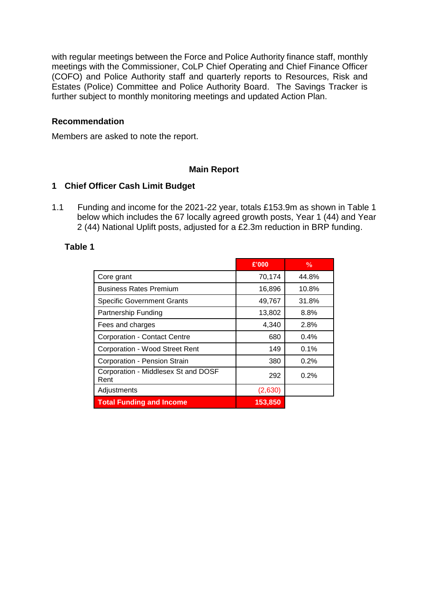with regular meetings between the Force and Police Authority finance staff, monthly meetings with the Commissioner, CoLP Chief Operating and Chief Finance Officer (COFO) and Police Authority staff and quarterly reports to Resources, Risk and Estates (Police) Committee and Police Authority Board. The Savings Tracker is further subject to monthly monitoring meetings and updated Action Plan.

#### **Recommendation**

Members are asked to note the report.

#### **Main Report**

#### **1 Chief Officer Cash Limit Budget**

1.1 Funding and income for the 2021-22 year, totals £153.9m as shown in Table 1 below which includes the 67 locally agreed growth posts, Year 1 (44) and Year 2 (44) National Uplift posts, adjusted for a £2.3m reduction in BRP funding.

#### **Table 1**

|                                             | £'000   | $\frac{0}{0}$ |
|---------------------------------------------|---------|---------------|
| Core grant                                  | 70,174  | 44.8%         |
| <b>Business Rates Premium</b>               | 16,896  | 10.8%         |
| <b>Specific Government Grants</b>           | 49,767  | 31.8%         |
| Partnership Funding                         | 13,802  | 8.8%          |
| Fees and charges                            | 4,340   | 2.8%          |
| <b>Corporation - Contact Centre</b>         | 680     | $0.4\%$       |
| <b>Corporation - Wood Street Rent</b>       | 149     | 0.1%          |
| Corporation - Pension Strain                | 380     | 0.2%          |
| Corporation - Middlesex St and DOSF<br>Rent | 292     | 0.2%          |
| Adjustments                                 | (2,630) |               |
| <b>Total Funding and Income</b>             | 153,850 |               |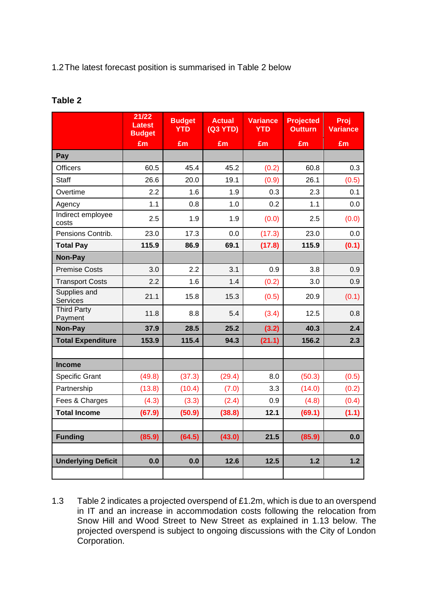### 1.2The latest forecast position is summarised in Table 2 below

### **Table 2**

|                                 | 21/22<br><b>Latest</b><br><b>Budget</b> | <b>Budget</b><br><b>YTD</b> | <b>Actual</b><br>(Q3 YTD) | <b>Variance</b><br><b>YTD</b> | <b>Projected</b><br><b>Outturn</b> | Proj<br><b>Variance</b> |
|---------------------------------|-----------------------------------------|-----------------------------|---------------------------|-------------------------------|------------------------------------|-------------------------|
|                                 | £m                                      | £m                          | £m                        | E <sub>m</sub>                | £m                                 | £m                      |
| Pay                             |                                         |                             |                           |                               |                                    |                         |
| <b>Officers</b>                 | 60.5                                    | 45.4                        | 45.2                      | (0.2)                         | 60.8                               | 0.3                     |
| Staff                           | 26.6                                    | 20.0                        | 19.1                      | (0.9)                         | 26.1                               | (0.5)                   |
| Overtime                        | 2.2                                     | 1.6                         | 1.9                       | 0.3                           | 2.3                                | 0.1                     |
| Agency                          | 1.1                                     | 0.8                         | 1.0                       | 0.2                           | 1.1                                | 0.0                     |
| Indirect employee<br>costs      | 2.5                                     | 1.9                         | 1.9                       | (0.0)                         | 2.5                                | (0.0)                   |
| Pensions Contrib.               | 23.0                                    | 17.3                        | 0.0                       | (17.3)                        | 23.0                               | 0.0                     |
| <b>Total Pay</b>                | 115.9                                   | 86.9                        | 69.1                      | (17.8)                        | 115.9                              | (0.1)                   |
| Non-Pay                         |                                         |                             |                           |                               |                                    |                         |
| <b>Premise Costs</b>            | 3.0                                     | 2.2                         | 3.1                       | 0.9                           | 3.8                                | 0.9                     |
| <b>Transport Costs</b>          | 2.2                                     | 1.6                         | 1.4                       | (0.2)                         | 3.0                                | 0.9                     |
| Supplies and<br><b>Services</b> | 21.1                                    | 15.8                        | 15.3                      | (0.5)                         | 20.9                               | (0.1)                   |
| <b>Third Party</b><br>Payment   | 11.8                                    | 8.8                         | 5.4                       | (3.4)                         | 12.5                               | 0.8                     |
| Non-Pay                         | 37.9                                    | 28.5                        | 25.2                      | (3.2)                         | 40.3                               | 2.4                     |
| <b>Total Expenditure</b>        | 153.9                                   | 115.4                       | 94.3                      | (21.1)                        | 156.2                              | 2.3                     |
|                                 |                                         |                             |                           |                               |                                    |                         |
| <b>Income</b>                   |                                         |                             |                           |                               |                                    |                         |
| <b>Specific Grant</b>           | (49.8)                                  | (37.3)                      | (29.4)                    | 8.0                           | (50.3)                             | (0.5)                   |
| Partnership                     | (13.8)                                  | (10.4)                      | (7.0)                     | 3.3                           | (14.0)                             | (0.2)                   |
| Fees & Charges                  | (4.3)                                   | (3.3)                       | (2.4)                     | 0.9                           | (4.8)                              | (0.4)                   |
| <b>Total Income</b>             | (67.9)                                  | (50.9)                      | (38.8)                    | 12.1                          | (69.1)                             | (1.1)                   |
|                                 |                                         |                             |                           |                               |                                    |                         |
| <b>Funding</b>                  | (85.9)                                  | (64.5)                      | (43.0)                    | 21.5                          | (85.9)                             | 0.0                     |
|                                 |                                         |                             |                           |                               |                                    |                         |
| <b>Underlying Deficit</b>       | 0.0                                     | 0.0                         | 12.6                      | 12.5                          | 1.2                                | $1.2$                   |
|                                 |                                         |                             |                           |                               |                                    |                         |

1.3 Table 2 indicates a projected overspend of £1.2m, which is due to an overspend in IT and an increase in accommodation costs following the relocation from Snow Hill and Wood Street to New Street as explained in 1.13 below. The projected overspend is subject to ongoing discussions with the City of London Corporation.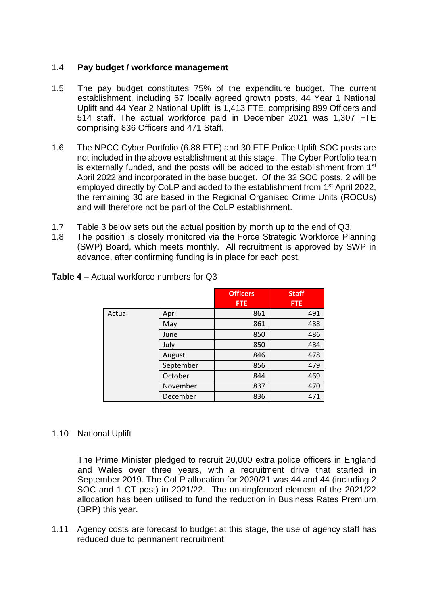#### 1.4 **Pay budget / workforce management**

- 1.5 The pay budget constitutes 75% of the expenditure budget. The current establishment, including 67 locally agreed growth posts, 44 Year 1 National Uplift and 44 Year 2 National Uplift, is 1,413 FTE, comprising 899 Officers and 514 staff. The actual workforce paid in December 2021 was 1,307 FTE comprising 836 Officers and 471 Staff.
- 1.6 The NPCC Cyber Portfolio (6.88 FTE) and 30 FTE Police Uplift SOC posts are not included in the above establishment at this stage. The Cyber Portfolio team is externally funded, and the posts will be added to the establishment from  $1<sup>st</sup>$ April 2022 and incorporated in the base budget. Of the 32 SOC posts, 2 will be employed directly by CoLP and added to the establishment from 1<sup>st</sup> April 2022, the remaining 30 are based in the Regional Organised Crime Units (ROCUs) and will therefore not be part of the CoLP establishment.
- 1.7 Table 3 below sets out the actual position by month up to the end of Q3.
- 1.8 The position is closely monitored via the Force Strategic Workforce Planning (SWP) Board, which meets monthly. All recruitment is approved by SWP in advance, after confirming funding is in place for each post.

|        |           | <b>Officers</b><br><b>FTE</b> | <b>Staff</b><br><b>FTE</b> |
|--------|-----------|-------------------------------|----------------------------|
|        |           |                               |                            |
| Actual | April     | 861                           | 491                        |
|        | May       | 861                           | 488                        |
|        | June      | 850                           | 486                        |
|        | July      | 850                           | 484                        |
|        | August    | 846                           | 478                        |
|        | September | 856                           | 479                        |
|        | October   | 844                           | 469                        |
|        | November  | 837                           | 470                        |
|        | December  | 836                           | 471                        |

**Table 4 –** Actual workforce numbers for Q3

# 1.10 National Uplift

The Prime Minister pledged to recruit 20,000 extra police officers in England and Wales over three years, with a recruitment drive that started in September 2019. The CoLP allocation for 2020/21 was 44 and 44 (including 2 SOC and 1 CT post) in 2021/22. The un-ringfenced element of the 2021/22 allocation has been utilised to fund the reduction in Business Rates Premium (BRP) this year.

1.11 Agency costs are forecast to budget at this stage, the use of agency staff has reduced due to permanent recruitment.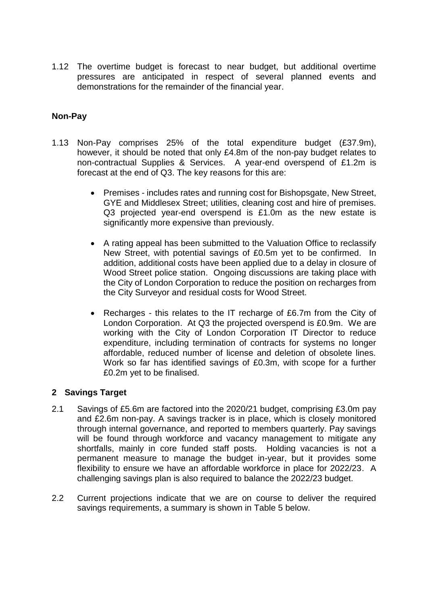1.12 The overtime budget is forecast to near budget, but additional overtime pressures are anticipated in respect of several planned events and demonstrations for the remainder of the financial year.

# **Non-Pay**

- 1.13 Non-Pay comprises 25% of the total expenditure budget (£37.9m), however, it should be noted that only £4.8m of the non-pay budget relates to non-contractual Supplies & Services. A year-end overspend of £1.2m is forecast at the end of Q3. The key reasons for this are:
	- Premises includes rates and running cost for Bishopsgate, New Street, GYE and Middlesex Street; utilities, cleaning cost and hire of premises. Q3 projected year-end overspend is £1.0m as the new estate is significantly more expensive than previously.
	- A rating appeal has been submitted to the Valuation Office to reclassify New Street, with potential savings of £0.5m yet to be confirmed. In addition, additional costs have been applied due to a delay in closure of Wood Street police station. Ongoing discussions are taking place with the City of London Corporation to reduce the position on recharges from the City Surveyor and residual costs for Wood Street.
	- Recharges this relates to the IT recharge of £6.7m from the City of London Corporation. At Q3 the projected overspend is £0.9m. We are working with the City of London Corporation IT Director to reduce expenditure, including termination of contracts for systems no longer affordable, reduced number of license and deletion of obsolete lines. Work so far has identified savings of £0.3m, with scope for a further £0.2m yet to be finalised.

# **2 Savings Target**

- 2.1 Savings of £5.6m are factored into the 2020/21 budget, comprising £3.0m pay and £2.6m non-pay. A savings tracker is in place, which is closely monitored through internal governance, and reported to members quarterly. Pay savings will be found through workforce and vacancy management to mitigate any shortfalls, mainly in core funded staff posts. Holding vacancies is not a permanent measure to manage the budget in-year, but it provides some flexibility to ensure we have an affordable workforce in place for 2022/23. A challenging savings plan is also required to balance the 2022/23 budget.
- 2.2 Current projections indicate that we are on course to deliver the required savings requirements, a summary is shown in Table 5 below.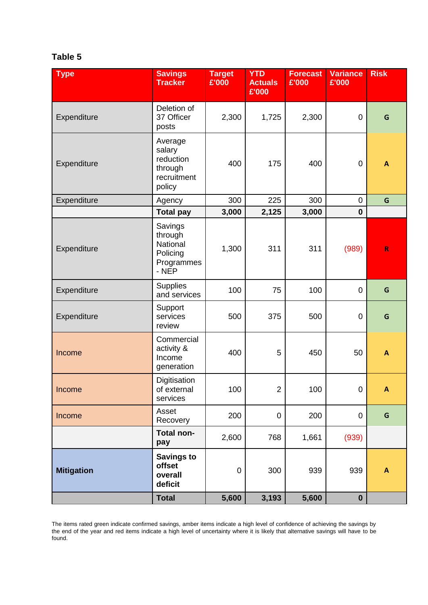# **Table 5**

| <b>Type</b>       | <b>Savings</b><br><b>Tracker</b>                                   | <b>Target</b><br>£'000 | <b>YTD</b><br><b>Actuals</b><br>£'000 | <b>Forecast</b><br>£'000 | <b>Variance</b><br>£'000 | <b>Risk</b>               |
|-------------------|--------------------------------------------------------------------|------------------------|---------------------------------------|--------------------------|--------------------------|---------------------------|
| Expenditure       | Deletion of<br>37 Officer<br>posts                                 | 2,300                  | 1,725                                 | 2,300                    | 0                        | G                         |
| Expenditure       | Average<br>salary<br>reduction<br>through<br>recruitment<br>policy | 400                    | 175                                   | 400                      | $\pmb{0}$                | A                         |
| Expenditure       | Agency                                                             | 300                    | 225                                   | 300                      | $\pmb{0}$                | G                         |
|                   | <b>Total pay</b>                                                   | 3,000                  | 2,125                                 | 3,000                    | $\mathbf 0$              |                           |
| Expenditure       | Savings<br>through<br>National<br>Policing<br>Programmes<br>- NEP  | 1,300                  | 311                                   | 311                      | (989)                    | $\mathsf{R}$              |
| Expenditure       | <b>Supplies</b><br>and services                                    | 100                    | 75                                    | 100                      | $\pmb{0}$                | G                         |
| Expenditure       | Support<br>services<br>review                                      | 500                    | 375                                   | 500                      | 0                        | G                         |
| Income            | Commercial<br>activity &<br>Income<br>generation                   | 400                    | 5                                     | 450                      | 50                       | $\mathbf{A}$              |
| Income            | Digitisation<br>of external<br>services                            | 100                    | $\overline{c}$                        | 100                      | $\overline{0}$           | A                         |
| Income            | Asset<br>Recovery                                                  | 200                    | $\boldsymbol{0}$                      | 200                      | 0                        | G                         |
|                   | Total non-<br>pay                                                  | 2,600                  | 768                                   | 1,661                    | (939)                    |                           |
| <b>Mitigation</b> | <b>Savings to</b><br>offset<br>overall<br>deficit                  | $\pmb{0}$              | 300                                   | 939                      | 939                      | $\boldsymbol{\mathsf{A}}$ |
|                   | <b>Total</b>                                                       | 5,600                  | 3,193                                 | 5,600                    | $\mathbf 0$              |                           |

The items rated green indicate confirmed savings, amber items indicate a high level of confidence of achieving the savings by the end of the year and red items indicate a high level of uncertainty where it is likely that alternative savings will have to be found.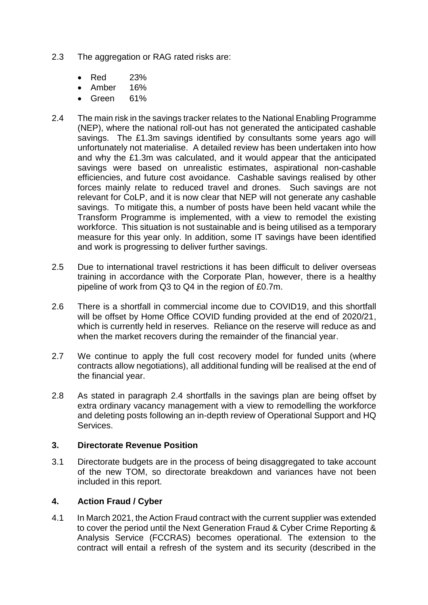- 2.3 The aggregation or RAG rated risks are:
	- Red 23%
	- Amber 16%
	- Green 61%
- 2.4 The main risk in the savings tracker relates to the National Enabling Programme (NEP), where the national roll-out has not generated the anticipated cashable savings. The £1.3m savings identified by consultants some years ago will unfortunately not materialise. A detailed review has been undertaken into how and why the £1.3m was calculated, and it would appear that the anticipated savings were based on unrealistic estimates, aspirational non-cashable efficiencies, and future cost avoidance. Cashable savings realised by other forces mainly relate to reduced travel and drones. Such savings are not relevant for CoLP, and it is now clear that NEP will not generate any cashable savings. To mitigate this, a number of posts have been held vacant while the Transform Programme is implemented, with a view to remodel the existing workforce. This situation is not sustainable and is being utilised as a temporary measure for this year only. In addition, some IT savings have been identified and work is progressing to deliver further savings.
- 2.5 Due to international travel restrictions it has been difficult to deliver overseas training in accordance with the Corporate Plan, however, there is a healthy pipeline of work from Q3 to Q4 in the region of £0.7m.
- 2.6 There is a shortfall in commercial income due to COVID19, and this shortfall will be offset by Home Office COVID funding provided at the end of 2020/21, which is currently held in reserves. Reliance on the reserve will reduce as and when the market recovers during the remainder of the financial year.
- 2.7 We continue to apply the full cost recovery model for funded units (where contracts allow negotiations), all additional funding will be realised at the end of the financial year.
- 2.8 As stated in paragraph 2.4 shortfalls in the savings plan are being offset by extra ordinary vacancy management with a view to remodelling the workforce and deleting posts following an in-depth review of Operational Support and HQ Services.

#### **3. Directorate Revenue Position**

3.1 Directorate budgets are in the process of being disaggregated to take account of the new TOM, so directorate breakdown and variances have not been included in this report.

#### **4. Action Fraud / Cyber**

4.1 In March 2021, the Action Fraud contract with the current supplier was extended to cover the period until the Next Generation Fraud & Cyber Crime Reporting & Analysis Service (FCCRAS) becomes operational. The extension to the contract will entail a refresh of the system and its security (described in the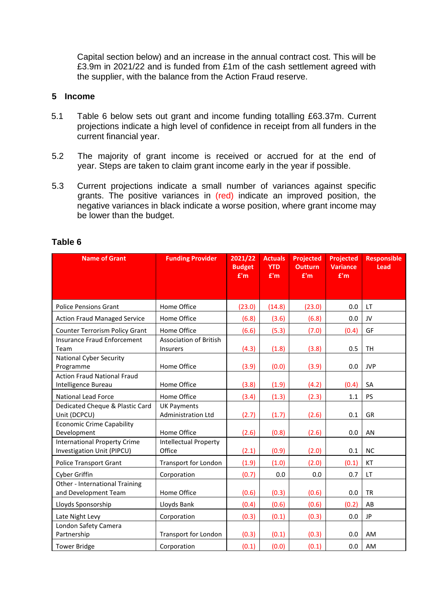Capital section below) and an increase in the annual contract cost. This will be £3.9m in 2021/22 and is funded from £1m of the cash settlement agreed with the supplier, with the balance from the Action Fraud reserve.

#### **5 Income**

- 5.1 Table 6 below sets out grant and income funding totalling £63.37m. Current projections indicate a high level of confidence in receipt from all funders in the current financial year.
- 5.2 The majority of grant income is received or accrued for at the end of year. Steps are taken to claim grant income early in the year if possible.
- 5.3 Current projections indicate a small number of variances against specific grants. The positive variances in (red) indicate an improved position, the negative variances in black indicate a worse position, where grant income may be lower than the budget.

| <b>Name of Grant</b>                                              | <b>Funding Provider</b>                   | 2021/22<br><b>Budget</b><br>E'm | <b>Actuals</b><br><b>YTD</b><br>E'm | <b>Projected</b><br><b>Outturn</b><br>E'm | <b>Projected</b><br><b>Variance</b><br>E'm | <b>Responsible</b><br>Lead |
|-------------------------------------------------------------------|-------------------------------------------|---------------------------------|-------------------------------------|-------------------------------------------|--------------------------------------------|----------------------------|
|                                                                   |                                           |                                 |                                     |                                           |                                            |                            |
| <b>Police Pensions Grant</b>                                      | Home Office                               | (23.0)                          | (14.8)                              | (23.0)                                    | 0.0                                        | LT.                        |
| <b>Action Fraud Managed Service</b>                               | Home Office                               | (6.8)                           | (3.6)                               | (6.8)                                     | 0.0                                        | JV                         |
| Counter Terrorism Policy Grant                                    | Home Office                               | (6.6)                           | (5.3)                               | (7.0)                                     | (0.4)                                      | GF                         |
| Insurance Fraud Enforcement<br>Team                               | <b>Association of British</b><br>Insurers | (4.3)                           | (1.8)                               | (3.8)                                     | 0.5                                        | <b>TH</b>                  |
| <b>National Cyber Security</b><br>Programme                       | Home Office                               | (3.9)                           | (0.0)                               | (3.9)                                     | 0.0                                        | <b>JVP</b>                 |
| <b>Action Fraud National Fraud</b><br>Intelligence Bureau         | Home Office                               | (3.8)                           | (1.9)                               | (4.2)                                     | (0.4)                                      | <b>SA</b>                  |
| <b>National Lead Force</b>                                        | Home Office                               | (3.4)                           | (1.3)                               | (2.3)                                     | 1.1                                        | <b>PS</b>                  |
| Dedicated Cheque & Plastic Card<br>Unit (DCPCU)                   | <b>UK Payments</b><br>Administration Ltd  | (2.7)                           | (1.7)                               | (2.6)                                     | 0.1                                        | <b>GR</b>                  |
| <b>Economic Crime Capability</b><br>Development                   | Home Office                               | (2.6)                           | (0.8)                               | (2.6)                                     | 0.0                                        | AN                         |
| <b>International Property Crime</b><br>Investigation Unit (PIPCU) | Intellectual Property<br>Office           | (2.1)                           | (0.9)                               | (2.0)                                     | 0.1                                        | <b>NC</b>                  |
| <b>Police Transport Grant</b>                                     | <b>Transport for London</b>               | (1.9)                           | (1.0)                               | (2.0)                                     | (0.1)                                      | KT                         |
| Cyber Griffin                                                     | Corporation                               | (0.7)                           | 0.0                                 | 0.0                                       | 0.7                                        | LT.                        |
| Other - International Training<br>and Development Team            | Home Office                               | (0.6)                           | (0.3)                               | (0.6)                                     | 0.0                                        | <b>TR</b>                  |
| Lloyds Sponsorship                                                | Lloyds Bank                               | (0.4)                           | (0.6)                               | (0.6)                                     | (0.2)                                      | AB                         |
| Late Night Levy                                                   | Corporation                               | (0.3)                           | (0.1)                               | (0.3)                                     | 0.0                                        | JP                         |
| London Safety Camera<br>Partnership                               | <b>Transport for London</b>               | (0.3)                           | (0.1)                               | (0.3)                                     | 0.0                                        | AM                         |
| <b>Tower Bridge</b>                                               | Corporation                               | (0.1)                           | (0.0)                               | (0.1)                                     | 0.0                                        | AM                         |

#### **Table 6**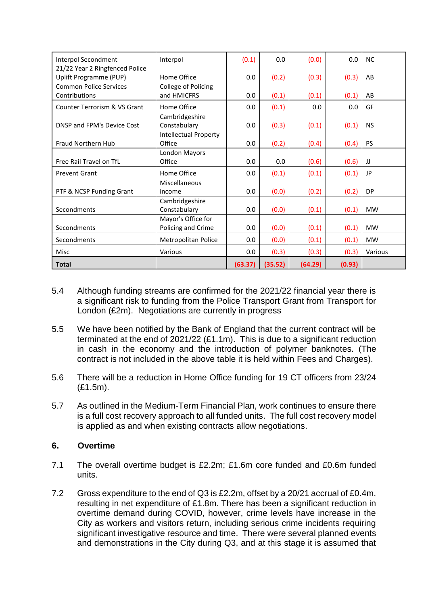| Interpol Secondment            | Interpol                     | (0.1)   | 0.0     | (0.0)   | 0.0    | <b>NC</b> |
|--------------------------------|------------------------------|---------|---------|---------|--------|-----------|
| 21/22 Year 2 Ringfenced Police |                              |         |         |         |        |           |
| Uplift Programme (PUP)         | Home Office                  | 0.0     | (0.2)   | (0.3)   | (0.3)  | AB        |
| <b>Common Police Services</b>  | College of Policing          |         |         |         |        |           |
| Contributions                  | and HMICFRS                  | 0.0     | (0.1)   | (0.1)   | (0.1)  | AB        |
| Counter Terrorism & VS Grant   | Home Office                  | 0.0     | (0.1)   | 0.0     | 0.0    | GF        |
|                                | Cambridgeshire               |         |         |         |        |           |
| DNSP and FPM's Device Cost     | Constabulary                 | 0.0     | (0.3)   | (0.1)   | (0.1)  | <b>NS</b> |
|                                | <b>Intellectual Property</b> |         |         |         |        |           |
| Fraud Northern Hub             | Office                       | 0.0     | (0.2)   | (0.4)   | (0.4)  | <b>PS</b> |
|                                | London Mayors                |         |         |         |        |           |
| Free Rail Travel on TfL        | Office                       | 0.0     | 0.0     | (0.6)   | (0.6)  | IJ        |
| <b>Prevent Grant</b>           | Home Office                  | 0.0     | (0.1)   | (0.1)   | (0.1)  | <b>JP</b> |
|                                | Miscellaneous                |         |         |         |        |           |
| PTF & NCSP Funding Grant       | income                       | 0.0     | (0.0)   | (0.2)   | (0.2)  | <b>DP</b> |
|                                | Cambridgeshire               |         |         |         |        |           |
| Secondments                    | Constabulary                 | 0.0     | (0.0)   | (0.1)   | (0.1)  | <b>MW</b> |
|                                | Mayor's Office for           |         |         |         |        |           |
| Secondments                    | Policing and Crime           | 0.0     | (0.0)   | (0.1)   | (0.1)  | <b>MW</b> |
| Secondments                    | Metropolitan Police          | 0.0     | (0.0)   | (0.1)   | (0.1)  | <b>MW</b> |
| Misc                           | Various                      | 0.0     | (0.3)   | (0.3)   | (0.3)  | Various   |
| <b>Total</b>                   |                              | (63.37) | (35.52) | (64.29) | (0.93) |           |

- 5.4 Although funding streams are confirmed for the 2021/22 financial year there is a significant risk to funding from the Police Transport Grant from Transport for London (£2m). Negotiations are currently in progress
- 5.5 We have been notified by the Bank of England that the current contract will be terminated at the end of 2021/22 (£1.1m). This is due to a significant reduction in cash in the economy and the introduction of polymer banknotes. (The contract is not included in the above table it is held within Fees and Charges).
- 5.6 There will be a reduction in Home Office funding for 19 CT officers from 23/24 (£1.5m).
- 5.7 As outlined in the Medium-Term Financial Plan, work continues to ensure there is a full cost recovery approach to all funded units. The full cost recovery model is applied as and when existing contracts allow negotiations.

# **6. Overtime**

- 7.1 The overall overtime budget is £2.2m; £1.6m core funded and £0.6m funded units.
- 7.2 Gross expenditure to the end of Q3 is £2.2m, offset by a 20/21 accrual of £0.4m, resulting in net expenditure of £1.8m. There has been a significant reduction in overtime demand during COVID, however, crime levels have increase in the City as workers and visitors return, including serious crime incidents requiring significant investigative resource and time. There were several planned events and demonstrations in the City during Q3, and at this stage it is assumed that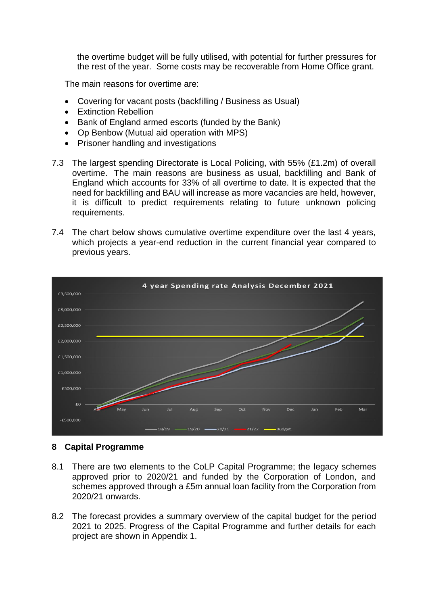the overtime budget will be fully utilised, with potential for further pressures for the rest of the year. Some costs may be recoverable from Home Office grant.

The main reasons for overtime are:

- Covering for vacant posts (backfilling / Business as Usual)
- Extinction Rebellion
- Bank of England armed escorts (funded by the Bank)
- Op Benbow (Mutual aid operation with MPS)
- Prisoner handling and investigations
- 7.3 The largest spending Directorate is Local Policing, with 55% (£1.2m) of overall overtime. The main reasons are business as usual, backfilling and Bank of England which accounts for 33% of all overtime to date. It is expected that the need for backfilling and BAU will increase as more vacancies are held, however, it is difficult to predict requirements relating to future unknown policing requirements.
- 7.4 The chart below shows cumulative overtime expenditure over the last 4 years, which projects a year-end reduction in the current financial year compared to previous years.



#### **8 Capital Programme**

- 8.1 There are two elements to the CoLP Capital Programme; the legacy schemes approved prior to 2020/21 and funded by the Corporation of London, and schemes approved through a £5m annual loan facility from the Corporation from 2020/21 onwards.
- 8.2 The forecast provides a summary overview of the capital budget for the period 2021 to 2025. Progress of the Capital Programme and further details for each project are shown in Appendix 1.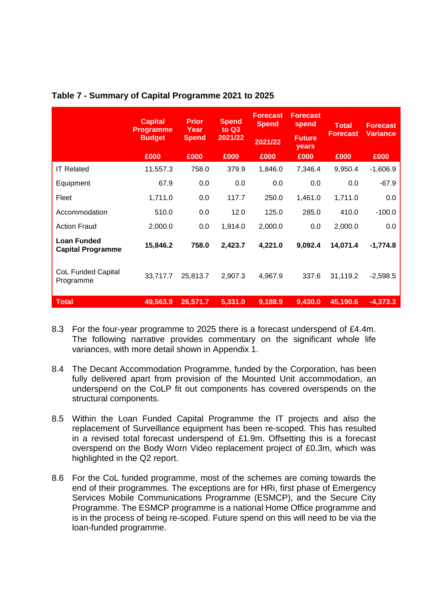|                                                | <b>Capital</b><br><b>Programme</b> | <b>Prior</b><br>Year | <b>Spend</b><br>to $Q3$ | <b>Forecast</b><br><b>Spend</b> | <b>Forecast</b><br>spend | <b>Total</b>    | <b>Forecast</b> |
|------------------------------------------------|------------------------------------|----------------------|-------------------------|---------------------------------|--------------------------|-----------------|-----------------|
|                                                | <b>Budget</b>                      | <b>Spend</b>         | 2021/22                 | 2021/22                         | <b>Future</b><br>years   | <b>Forecast</b> | <b>Variance</b> |
|                                                | £000                               | £000                 | £000                    | £000                            | £000                     | £000            | £000            |
| <b>IT Related</b>                              | 11,557.3                           | 758.0                | 379.9                   | 1,846.0                         | 7,346.4                  | 9,950.4         | $-1,606.9$      |
| Equipment                                      | 67.9                               | 0.0                  | 0.0                     | 0.0                             | 0.0                      | 0.0             | $-67.9$         |
| Fleet                                          | 1,711.0                            | 0.0                  | 117.7                   | 250.0                           | 1,461.0                  | 1,711.0         | 0.0             |
| Accommodation                                  | 510.0                              | 0.0                  | 12.0                    | 125.0                           | 285.0                    | 410.0           | $-100.0$        |
| <b>Action Fraud</b>                            | 2,000.0                            | 0.0                  | 1,914.0                 | 2,000.0                         | 0.0                      | 2,000.0         | 0.0             |
| <b>Loan Funded</b><br><b>Capital Programme</b> | 15,846.2                           | 758.0                | 2,423.7                 | 4,221.0                         | 9,092.4                  | 14,071.4        | $-1,774.8$      |
| <b>CoL Funded Capital</b><br>Programme         | 33,717.7                           | 25,813.7             | 2,907.3                 | 4,967.9                         | 337.6                    | 31,119.2        | $-2,598.5$      |
| <b>Total</b>                                   | 49,563.9                           | 26,571.7             | 5,331.0                 | 9,188.9                         | 9,430.0                  | 45,190.6        | $-4,373.3$      |

#### **Table 7 - Summary of Capital Programme 2021 to 2025**

- 8.3 For the four-year programme to 2025 there is a forecast underspend of £4.4m. The following narrative provides commentary on the significant whole life variances, with more detail shown in Appendix 1.
- 8.4 The Decant Accommodation Programme, funded by the Corporation, has been fully delivered apart from provision of the Mounted Unit accommodation, an underspend on the CoLP fit out components has covered overspends on the structural components.
- 8.5 Within the Loan Funded Capital Programme the IT projects and also the replacement of Surveillance equipment has been re-scoped. This has resulted in a revised total forecast underspend of £1.9m. Offsetting this is a forecast overspend on the Body Worn Video replacement project of £0.3m, which was highlighted in the Q2 report.
- 8.6 For the CoL funded programme, most of the schemes are coming towards the end of their programmes. The exceptions are for HRi, first phase of Emergency Services Mobile Communications Programme (ESMCP), and the Secure City Programme. The ESMCP programme is a national Home Office programme and is in the process of being re-scoped. Future spend on this will need to be via the loan-funded programme.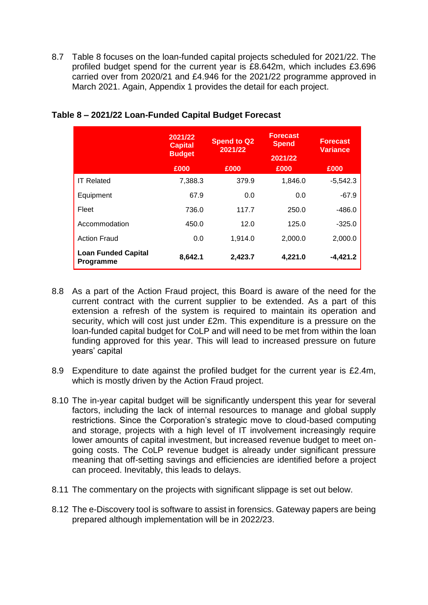8.7 Table 8 focuses on the loan-funded capital projects scheduled for 2021/22. The profiled budget spend for the current year is £8.642m, which includes £3.696 carried over from 2020/21 and £4.946 for the 2021/22 programme approved in March 2021. Again, Appendix 1 provides the detail for each project.

|                                         | 2021/22<br><b>Capital</b><br><b>Budget</b> | <b>Forecast</b><br><b>Spend to Q2</b><br><b>Spend</b><br>2021/22<br>2021/22 |         | <b>Forecast</b><br><b>Variance</b> |
|-----------------------------------------|--------------------------------------------|-----------------------------------------------------------------------------|---------|------------------------------------|
|                                         | £000                                       | £000                                                                        | £000    | £000                               |
| <b>IT Related</b>                       | 7,388.3                                    | 379.9                                                                       | 1,846.0 | $-5,542.3$                         |
| Equipment                               | 67.9                                       | 0.0                                                                         | 0.0     | $-67.9$                            |
| Fleet                                   | 736.0                                      | 117.7                                                                       | 250.0   | $-486.0$                           |
| Accommodation                           | 450.0                                      | 12.0                                                                        | 125.0   | $-325.0$                           |
| <b>Action Fraud</b>                     | 0.0                                        | 1,914.0                                                                     | 2,000.0 | 2,000.0                            |
| <b>Loan Funded Capital</b><br>Programme | 8,642.1                                    | 2,423.7                                                                     | 4,221.0 | $-4,421.2$                         |

# **Table 8 – 2021/22 Loan-Funded Capital Budget Forecast**

- 8.8 As a part of the Action Fraud project, this Board is aware of the need for the current contract with the current supplier to be extended. As a part of this extension a refresh of the system is required to maintain its operation and security, which will cost just under £2m. This expenditure is a pressure on the loan-funded capital budget for CoLP and will need to be met from within the loan funding approved for this year. This will lead to increased pressure on future years' capital
- 8.9 Expenditure to date against the profiled budget for the current year is £2.4m, which is mostly driven by the Action Fraud project.
- 8.10 The in-year capital budget will be significantly underspent this year for several factors, including the lack of internal resources to manage and global supply restrictions. Since the Corporation's strategic move to cloud-based computing and storage, projects with a high level of IT involvement increasingly require lower amounts of capital investment, but increased revenue budget to meet ongoing costs. The CoLP revenue budget is already under significant pressure meaning that off-setting savings and efficiencies are identified before a project can proceed. Inevitably, this leads to delays.
- 8.11 The commentary on the projects with significant slippage is set out below.
- 8.12 The e-Discovery tool is software to assist in forensics. Gateway papers are being prepared although implementation will be in 2022/23.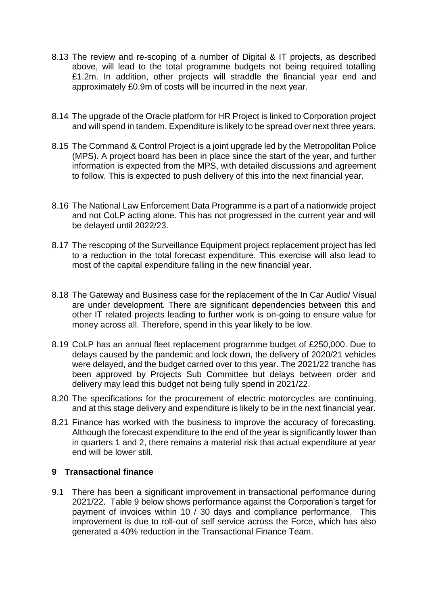- 8.13 The review and re-scoping of a number of Digital & IT projects, as described above, will lead to the total programme budgets not being required totalling £1.2m. In addition, other projects will straddle the financial year end and approximately £0.9m of costs will be incurred in the next year.
- 8.14 The upgrade of the Oracle platform for HR Project is linked to Corporation project and will spend in tandem. Expenditure is likely to be spread over next three years.
- 8.15 The Command & Control Project is a joint upgrade led by the Metropolitan Police (MPS). A project board has been in place since the start of the year, and further information is expected from the MPS, with detailed discussions and agreement to follow. This is expected to push delivery of this into the next financial year.
- 8.16 The National Law Enforcement Data Programme is a part of a nationwide project and not CoLP acting alone. This has not progressed in the current year and will be delayed until 2022/23.
- 8.17 The rescoping of the Surveillance Equipment project replacement project has led to a reduction in the total forecast expenditure. This exercise will also lead to most of the capital expenditure falling in the new financial year.
- 8.18 The Gateway and Business case for the replacement of the In Car Audio/ Visual are under development. There are significant dependencies between this and other IT related projects leading to further work is on-going to ensure value for money across all. Therefore, spend in this year likely to be low.
- 8.19 CoLP has an annual fleet replacement programme budget of £250,000. Due to delays caused by the pandemic and lock down, the delivery of 2020/21 vehicles were delayed, and the budget carried over to this year. The 2021/22 tranche has been approved by Projects Sub Committee but delays between order and delivery may lead this budget not being fully spend in 2021/22.
- 8.20 The specifications for the procurement of electric motorcycles are continuing, and at this stage delivery and expenditure is likely to be in the next financial year.
- 8.21 Finance has worked with the business to improve the accuracy of forecasting. Although the forecast expenditure to the end of the year is significantly lower than in quarters 1 and 2, there remains a material risk that actual expenditure at year end will be lower still.

#### **9 Transactional finance**

9.1 There has been a significant improvement in transactional performance during 2021/22. Table 9 below shows performance against the Corporation's target for payment of invoices within 10 / 30 days and compliance performance. This improvement is due to roll-out of self service across the Force, which has also generated a 40% reduction in the Transactional Finance Team.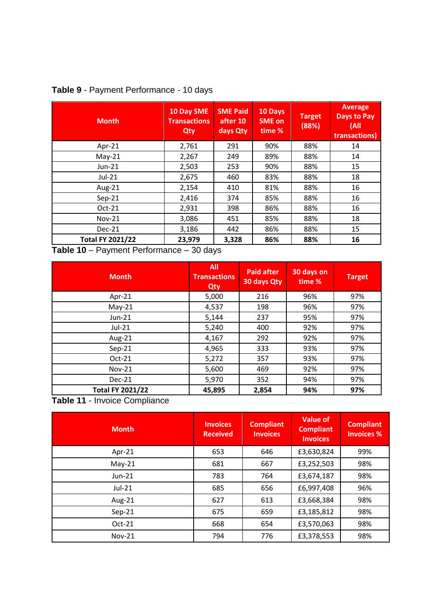| <b>Month</b>            | 10 Day SME<br><b>Transactions</b><br>Qty | <b>SME Paid</b><br>after 10<br>days Qty | 10 Days<br><b>SME on</b><br>time % | <b>Target</b><br>(88%) | <b>Average</b><br><b>Days to Pay</b><br>(A)<br>transactions) |
|-------------------------|------------------------------------------|-----------------------------------------|------------------------------------|------------------------|--------------------------------------------------------------|
| Apr-21                  | 2,761                                    | 291                                     | 90%                                | 88%                    | 14                                                           |
| $May-21$                | 2,267                                    | 249                                     | 89%                                | 88%                    | 14                                                           |
| Jun-21                  | 2,503                                    | 253                                     | 90%                                | 88%                    | 15                                                           |
| $Jul-21$                | 2,675                                    | 460                                     | 83%                                | 88%                    | 18                                                           |
| Aug-21                  | 2,154                                    | 410                                     | 81%                                | 88%                    | 16                                                           |
| $Sep-21$                | 2,416                                    | 374                                     | 85%                                | 88%                    | 16                                                           |
| $Oct-21$                | 2,931                                    | 398                                     | 86%                                | 88%                    | 16                                                           |
| <b>Nov-21</b>           | 3,086                                    | 451                                     | 85%                                | 88%                    | 18                                                           |
| Dec-21                  | 3,186                                    | 442                                     | 86%                                | 88%                    | 15                                                           |
| <b>Total FY 2021/22</b> | 23,979                                   | 3,328                                   | 86%                                | 88%                    | 16                                                           |

# **Table 9** - Payment Performance - 10 days

**Table 10** – Payment Performance – 30 days

| <b>Month</b>            | <b>All</b><br><b>Transactions</b><br>Qty | <b>Paid after</b><br>30 days Qty | 30 days on<br>time % | <b>Target</b> |
|-------------------------|------------------------------------------|----------------------------------|----------------------|---------------|
| Apr-21                  | 5,000                                    | 216                              | 96%                  | 97%           |
| $May-21$                | 4,537                                    | 198                              | 96%                  | 97%           |
| Jun-21                  | 5,144                                    | 237                              | 95%                  | 97%           |
| Jul-21                  | 5,240                                    | 400                              | 92%                  | 97%           |
| Aug-21                  | 4,167                                    | 292                              | 92%                  | 97%           |
| $Sep-21$                | 4,965                                    | 333                              | 93%                  | 97%           |
| Oct-21                  | 5,272                                    | 357                              | 93%                  | 97%           |
| <b>Nov-21</b>           | 5,600                                    | 469                              | 92%                  | 97%           |
| <b>Dec-21</b>           | 5,970                                    | 352                              | 94%                  | 97%           |
| <b>Total FY 2021/22</b> | 45,895                                   | 2,854                            | 94%                  | 97%           |



| <b>Month</b>  | <b>Invoices</b><br><b>Received</b> | <b>Compliant</b><br><b>Invoices</b> | <b>Value of</b><br><b>Compliant</b><br><b>Invoices</b> | <b>Compliant</b><br><b>Invoices %</b> |
|---------------|------------------------------------|-------------------------------------|--------------------------------------------------------|---------------------------------------|
| Apr-21        | 653                                | 646                                 | £3,630,824                                             | 99%                                   |
| $May-21$      | 681                                | 667                                 | £3,252,503                                             | 98%                                   |
| Jun-21        | 783                                | 764                                 | £3,674,187                                             | 98%                                   |
| Jul-21        | 685                                | 656                                 | £6,997,408                                             | 96%                                   |
| Aug-21        | 627                                | 613                                 | £3,668,384                                             | 98%                                   |
| $Sep-21$      | 675                                | 659                                 | £3,185,812                                             | 98%                                   |
| Oct-21        | 668                                | 654                                 | £3,570,063                                             | 98%                                   |
| <b>Nov-21</b> | 794                                | 776                                 | £3,378,553                                             | 98%                                   |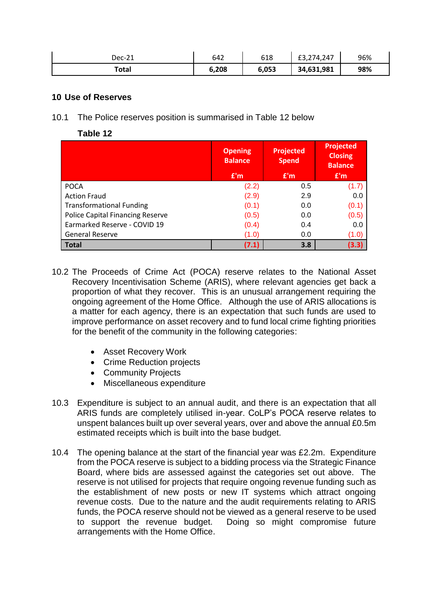| Dec-21 | 642   | 618   | ,274,247<br>ົາ<br>- / ے, د __ | 96% |
|--------|-------|-------|-------------------------------|-----|
| Total  | 6,208 | 6,053 | 34,631,981                    | 98% |

#### **10 Use of Reserves**

10.1 The Police reserves position is summarised in Table 12 below

**Table 12**

|                                         | <b>Opening</b><br><b>Balance</b> | <b>Projected</b><br><b>Spend</b> | <b>Projected</b><br><b>Closing</b><br><b>Balance</b> |
|-----------------------------------------|----------------------------------|----------------------------------|------------------------------------------------------|
|                                         | E'm                              | E'm                              | E'm                                                  |
| <b>POCA</b>                             | (2.2)                            | 0.5                              | (1.7)                                                |
| <b>Action Fraud</b>                     | (2.9)                            | 2.9                              | 0.0                                                  |
| <b>Transformational Funding</b>         | (0.1)                            | 0.0                              | (0.1)                                                |
| <b>Police Capital Financing Reserve</b> | (0.5)                            | 0.0                              | (0.5)                                                |
| Earmarked Reserve - COVID 19            | (0.4)                            | 0.4                              | 0.0                                                  |
| <b>General Reserve</b>                  | (1.0)                            | 0.0                              | (1.0)                                                |
| <b>Total</b>                            | (7.1)                            | 3.8                              | (3.3)                                                |

- 10.2 The Proceeds of Crime Act (POCA) reserve relates to the National Asset Recovery Incentivisation Scheme (ARIS), where relevant agencies get back a proportion of what they recover. This is an unusual arrangement requiring the ongoing agreement of the Home Office. Although the use of ARIS allocations is a matter for each agency, there is an expectation that such funds are used to improve performance on asset recovery and to fund local crime fighting priorities for the benefit of the community in the following categories:
	- Asset Recovery Work
	- Crime Reduction projects
	- Community Projects
	- Miscellaneous expenditure
- 10.3 Expenditure is subject to an annual audit, and there is an expectation that all ARIS funds are completely utilised in-year. CoLP's POCA reserve relates to unspent balances built up over several years, over and above the annual £0.5m estimated receipts which is built into the base budget.
- 10.4 The opening balance at the start of the financial year was £2.2m. Expenditure from the POCA reserve is subject to a bidding process via the Strategic Finance Board, where bids are assessed against the categories set out above. The reserve is not utilised for projects that require ongoing revenue funding such as the establishment of new posts or new IT systems which attract ongoing revenue costs. Due to the nature and the audit requirements relating to ARIS funds, the POCA reserve should not be viewed as a general reserve to be used to support the revenue budget. Doing so might compromise future arrangements with the Home Office.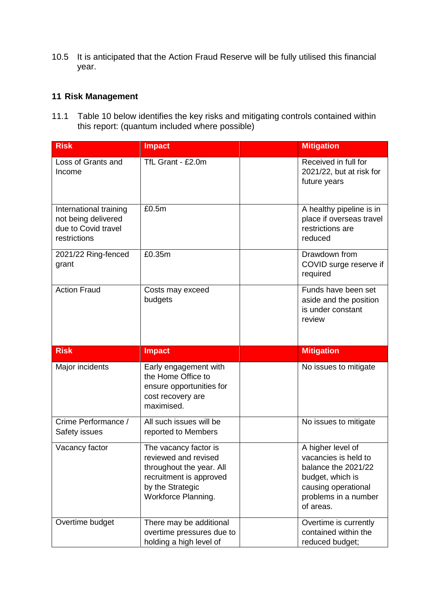10.5 It is anticipated that the Action Fraud Reserve will be fully utilised this financial year.

# **11 Risk Management**

11.1 Table 10 below identifies the key risks and mitigating controls contained within this report: (quantum included where possible)

| <b>Risk</b>                                                                          | <b>Impact</b>                                                                                                                                   | <b>Mitigation</b>                                                                                                                                |
|--------------------------------------------------------------------------------------|-------------------------------------------------------------------------------------------------------------------------------------------------|--------------------------------------------------------------------------------------------------------------------------------------------------|
| Loss of Grants and<br>Income                                                         | TfL Grant - £2.0m                                                                                                                               | Received in full for<br>2021/22, but at risk for<br>future years                                                                                 |
| International training<br>not being delivered<br>due to Covid travel<br>restrictions | £0.5m                                                                                                                                           | A healthy pipeline is in<br>place if overseas travel<br>restrictions are<br>reduced                                                              |
| 2021/22 Ring-fenced<br>grant                                                         | £0.35m                                                                                                                                          | Drawdown from<br>COVID surge reserve if<br>required                                                                                              |
| <b>Action Fraud</b>                                                                  | Costs may exceed<br>budgets                                                                                                                     | Funds have been set<br>aside and the position<br>is under constant<br>review                                                                     |
|                                                                                      |                                                                                                                                                 |                                                                                                                                                  |
| <b>Risk</b>                                                                          | <b>Impact</b>                                                                                                                                   | <b>Mitigation</b>                                                                                                                                |
| Major incidents                                                                      | Early engagement with<br>the Home Office to<br>ensure opportunities for<br>cost recovery are<br>maximised.                                      | No issues to mitigate                                                                                                                            |
| Crime Performance /<br>Safety issues                                                 | All such issues will be<br>reported to Members                                                                                                  | No issues to mitigate                                                                                                                            |
| Vacancy factor                                                                       | The vacancy factor is<br>reviewed and revised<br>throughout the year. All<br>recruitment is approved<br>by the Strategic<br>Workforce Planning. | A higher level of<br>vacancies is held to<br>balance the 2021/22<br>budget, which is<br>causing operational<br>problems in a number<br>of areas. |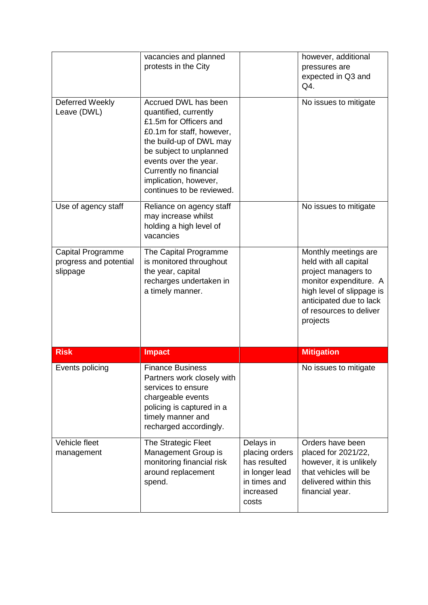|                                                         | vacancies and planned<br>protests in the City                                                                                                                                                                                                                       |                                                                                                     | however, additional<br>pressures are<br>expected in Q3 and<br>Q4.                                                                                                                             |
|---------------------------------------------------------|---------------------------------------------------------------------------------------------------------------------------------------------------------------------------------------------------------------------------------------------------------------------|-----------------------------------------------------------------------------------------------------|-----------------------------------------------------------------------------------------------------------------------------------------------------------------------------------------------|
| Deferred Weekly<br>Leave (DWL)                          | Accrued DWL has been<br>quantified, currently<br>£1.5m for Officers and<br>£0.1m for staff, however,<br>the build-up of DWL may<br>be subject to unplanned<br>events over the year.<br>Currently no financial<br>implication, however,<br>continues to be reviewed. |                                                                                                     | No issues to mitigate                                                                                                                                                                         |
| Use of agency staff                                     | Reliance on agency staff<br>may increase whilst<br>holding a high level of<br>vacancies                                                                                                                                                                             |                                                                                                     | No issues to mitigate                                                                                                                                                                         |
| Capital Programme<br>progress and potential<br>slippage | The Capital Programme<br>is monitored throughout<br>the year, capital<br>recharges undertaken in<br>a timely manner.                                                                                                                                                |                                                                                                     | Monthly meetings are<br>held with all capital<br>project managers to<br>monitor expenditure. A<br>high level of slippage is<br>anticipated due to lack<br>of resources to deliver<br>projects |
| <b>Risk</b>                                             | <b>Impact</b>                                                                                                                                                                                                                                                       |                                                                                                     | <b>Mitigation</b>                                                                                                                                                                             |
| Events policing                                         | <b>Finance Business</b><br>Partners work closely with<br>services to ensure<br>chargeable events<br>policing is captured in a<br>timely manner and<br>recharged accordingly.                                                                                        |                                                                                                     | No issues to mitigate                                                                                                                                                                         |
| Vehicle fleet<br>management                             | The Strategic Fleet<br>Management Group is<br>monitoring financial risk<br>around replacement<br>spend.                                                                                                                                                             | Delays in<br>placing orders<br>has resulted<br>in longer lead<br>in times and<br>increased<br>costs | Orders have been<br>placed for 2021/22,<br>however, it is unlikely<br>that vehicles will be<br>delivered within this<br>financial year.                                                       |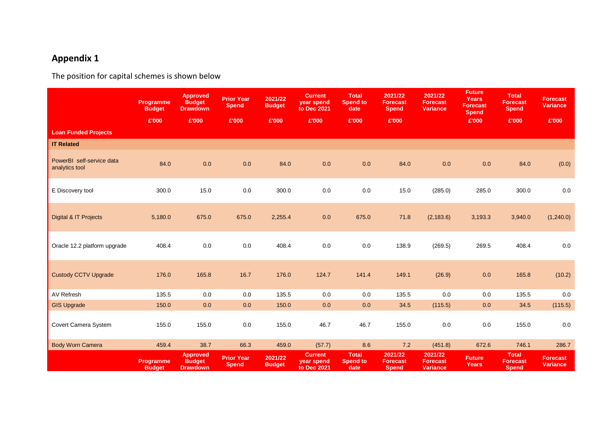# **Appendix 1**

The position for capital schemes is shown below

|                                             | Programme<br><b>Budget</b><br>£'000 | <b>Approved</b><br><b>Budget</b><br><b>Drawdown</b><br>£'000 | <b>Prior Year</b><br><b>Spend</b><br>£'000 | 2021/22<br><b>Budget</b><br>£'000 | <b>Current</b><br>year spend<br>to Dec 2021<br>£'000 | <b>Total</b><br><b>Spend to</b><br>date<br>£'000 | 2021/22<br><b>Forecast</b><br><b>Spend</b><br>£'000 | 2021/22<br><b>Forecast</b><br><b>Variance</b> | <b>Future</b><br><b>Years</b><br><b>Forecast</b><br><b>Spend</b><br>£'000 | <b>Total</b><br><b>Forecast</b><br><b>Spend</b><br>£'000 | <b>Forecast</b><br><b>Variance</b><br>£'000 |
|---------------------------------------------|-------------------------------------|--------------------------------------------------------------|--------------------------------------------|-----------------------------------|------------------------------------------------------|--------------------------------------------------|-----------------------------------------------------|-----------------------------------------------|---------------------------------------------------------------------------|----------------------------------------------------------|---------------------------------------------|
| <b>Loan Funded Projects</b>                 |                                     |                                                              |                                            |                                   |                                                      |                                                  |                                                     |                                               |                                                                           |                                                          |                                             |
| <b>IT Related</b>                           |                                     |                                                              |                                            |                                   |                                                      |                                                  |                                                     |                                               |                                                                           |                                                          |                                             |
| PowerBI self-service data<br>analytics tool | 84.0                                | 0.0                                                          | $0.0\,$                                    | 84.0                              | 0.0                                                  | 0.0                                              | 84.0                                                | 0.0                                           | 0.0                                                                       | 84.0                                                     | (0.0)                                       |
| E Discovery tool                            | 300.0                               | 15.0                                                         | 0.0                                        | 300.0                             | 0.0                                                  | 0.0                                              | 15.0                                                | (285.0)                                       | 285.0                                                                     | 300.0                                                    | 0.0                                         |
| Digital & IT Projects                       | 5,180.0                             | 675.0                                                        | 675.0                                      | 2,255.4                           | 0.0                                                  | 675.0                                            | 71.8                                                | (2, 183.6)                                    | 3,193.3                                                                   | 3,940.0                                                  | (1,240.0)                                   |
| Oracle 12.2 platform upgrade                | 408.4                               | 0.0                                                          | 0.0                                        | 408.4                             | $0.0\,$                                              | 0.0                                              | 138.9                                               | (269.5)                                       | 269.5                                                                     | 408.4                                                    | 0.0                                         |
| <b>Custody CCTV Upgrade</b>                 | 176.0                               | 165.8                                                        | 16.7                                       | 176.0                             | 124.7                                                | 141.4                                            | 149.1                                               | (26.9)                                        | 0.0                                                                       | 165.8                                                    | (10.2)                                      |
| AV Refresh                                  | 135.5                               | 0.0                                                          | 0.0                                        | 135.5                             | 0.0                                                  | 0.0                                              | 135.5                                               | 0.0                                           | 0.0                                                                       | 135.5                                                    | 0.0                                         |
| <b>GIS Upgrade</b>                          | 150.0                               | 0.0                                                          | 0.0                                        | 150.0                             | $0.0\,$                                              | 0.0                                              | 34.5                                                | (115.5)                                       | 0.0                                                                       | 34.5                                                     | (115.5)                                     |
| Covert Camera System                        | 155.0                               | 155.0                                                        | $0.0\,$                                    | 155.0                             | 46.7                                                 | 46.7                                             | 155.0                                               | 0.0                                           | $0.0\,$                                                                   | 155.0                                                    | 0.0                                         |
| <b>Body Worn Camera</b>                     | 459.4                               | 38.7                                                         | 66.3                                       | 459.0                             | (57.7)                                               | 8.6                                              | 7.2                                                 | (451.8)                                       | 672.6                                                                     | 746.1                                                    | 286.7                                       |
|                                             | Programme<br><b>Budget</b>          | <b>Approved</b><br><b>Budget</b><br><b>Drawdown</b>          | <b>Prior Year</b><br><b>Spend</b>          | 2021/22<br><b>Budget</b>          | <b>Current</b><br>year spend<br>to Dec 2021          | <b>Total</b><br><b>Spend to</b><br>date          | 2021/22<br><b>Forecast</b><br><b>Spend</b>          | 2021/22<br><b>Forecast</b><br><b>Variance</b> | <b>Future</b><br><b>Years</b>                                             | <b>Total</b><br><b>Forecast</b><br><b>Spend</b>          | <b>Forecast</b><br><b>Variance</b>          |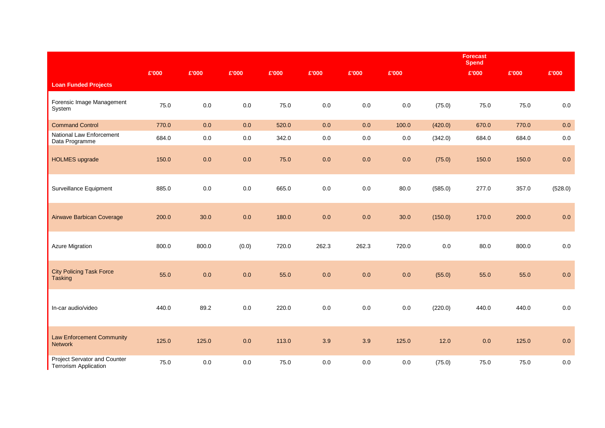|                                                              |       |         |         |       |         |         |         |         | <b>Forecast</b><br><b>Spend</b> |       |         |
|--------------------------------------------------------------|-------|---------|---------|-------|---------|---------|---------|---------|---------------------------------|-------|---------|
|                                                              | £'000 | £'000   | £'000   | £'000 | £'000   | £'000   | £'000   |         | £'000                           | £'000 | £'000   |
| <b>Loan Funded Projects</b>                                  |       |         |         |       |         |         |         |         |                                 |       |         |
| Forensic Image Management<br>System                          | 75.0  | $0.0\,$ | $0.0\,$ | 75.0  | $0.0\,$ | $0.0\,$ | $0.0\,$ | (75.0)  | 75.0                            | 75.0  | $0.0\,$ |
| <b>Command Control</b>                                       | 770.0 | 0.0     | 0.0     | 520.0 | $0.0\,$ | 0.0     | 100.0   | (420.0) | 670.0                           | 770.0 | 0.0     |
| National Law Enforcement<br>Data Programme                   | 684.0 | $0.0\,$ | $0.0\,$ | 342.0 | $0.0\,$ | $0.0\,$ | 0.0     | (342.0) | 684.0                           | 684.0 | $0.0\,$ |
| <b>HOLMES</b> upgrade                                        | 150.0 | $0.0\,$ | 0.0     | 75.0  | $0.0\,$ | 0.0     | 0.0     | (75.0)  | 150.0                           | 150.0 | $0.0\,$ |
| Surveillance Equipment                                       | 885.0 | $0.0\,$ | 0.0     | 665.0 | $0.0\,$ | $0.0\,$ | 80.0    | (585.0) | 277.0                           | 357.0 | (528.0) |
| Airwave Barbican Coverage                                    | 200.0 | 30.0    | 0.0     | 180.0 | 0.0     | 0.0     | 30.0    | (150.0) | 170.0                           | 200.0 | 0.0     |
| <b>Azure Migration</b>                                       | 800.0 | 800.0   | (0.0)   | 720.0 | 262.3   | 262.3   | 720.0   | $0.0\,$ | 80.0                            | 800.0 | $0.0\,$ |
| <b>City Policing Task Force</b><br>Tasking                   | 55.0  | 0.0     | 0.0     | 55.0  | 0.0     | 0.0     | 0.0     | (55.0)  | 55.0                            | 55.0  | 0.0     |
| In-car audio/video                                           | 440.0 | 89.2    | 0.0     | 220.0 | $0.0\,$ | $0.0\,$ | 0.0     | (220.0) | 440.0                           | 440.0 | $0.0\,$ |
| <b>Law Enforcement Community</b><br>Network                  | 125.0 | 125.0   | 0.0     | 113.0 | 3.9     | 3.9     | 125.0   | $12.0$  | 0.0                             | 125.0 | 0.0     |
| Project Servator and Counter<br><b>Terrorism Application</b> | 75.0  | $0.0\,$ | $0.0\,$ | 75.0  | $0.0\,$ | $0.0\,$ | 0.0     | (75.0)  | 75.0                            | 75.0  | $0.0\,$ |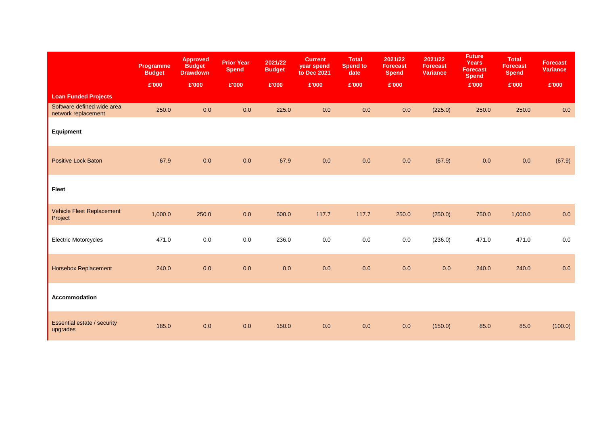|                                                   | Programme<br><b>Budget</b> | <b>Approved</b><br><b>Budget</b><br><b>Drawdown</b> | <b>Prior Year</b><br><b>Spend</b> | 2021/22<br><b>Budget</b> | <b>Current</b><br>year spend<br>to Dec 2021 | <b>Total</b><br><b>Spend to</b><br>date | 2021/22<br><b>Forecast</b><br><b>Spend</b> | 2021/22<br><b>Forecast</b><br><b>Variance</b> | <b>Future</b><br><b>Years</b><br><b>Forecast</b><br><b>Spend</b> | <b>Total</b><br><b>Forecast</b><br><b>Spend</b> | <b>Forecast</b><br><b>Variance</b> |
|---------------------------------------------------|----------------------------|-----------------------------------------------------|-----------------------------------|--------------------------|---------------------------------------------|-----------------------------------------|--------------------------------------------|-----------------------------------------------|------------------------------------------------------------------|-------------------------------------------------|------------------------------------|
|                                                   | £'000                      | £'000                                               | E'000                             | £'000                    | £'000                                       | £'000                                   | £'000                                      |                                               | £'000                                                            | £'000                                           | £'000                              |
| <b>Loan Funded Projects</b>                       |                            |                                                     |                                   |                          |                                             |                                         |                                            |                                               |                                                                  |                                                 |                                    |
| Software defined wide area<br>network replacement | 250.0                      | 0.0                                                 | 0.0                               | 225.0                    | 0.0                                         | 0.0                                     | 0.0                                        | (225.0)                                       | 250.0                                                            | 250.0                                           | $0.0\,$                            |
| Equipment                                         |                            |                                                     |                                   |                          |                                             |                                         |                                            |                                               |                                                                  |                                                 |                                    |
| <b>Positive Lock Baton</b>                        | 67.9                       | 0.0                                                 | 0.0                               | 67.9                     | 0.0                                         | $0.0\,$                                 | $0.0\,$                                    | (67.9)                                        | 0.0                                                              | $0.0\,$                                         | (67.9)                             |
| Fleet                                             |                            |                                                     |                                   |                          |                                             |                                         |                                            |                                               |                                                                  |                                                 |                                    |
| Vehicle Fleet Replacement<br>Project              | 1,000.0                    | 250.0                                               | 0.0                               | 500.0                    | 117.7                                       | 117.7                                   | 250.0                                      | (250.0)                                       | 750.0                                                            | 1,000.0                                         | 0.0                                |
| <b>Electric Motorcycles</b>                       | 471.0                      | $0.0\,$                                             | 0.0                               | 236.0                    | 0.0                                         | $0.0\,$                                 | 0.0                                        | (236.0)                                       | 471.0                                                            | 471.0                                           | $0.0\,$                            |
| <b>Horsebox Replacement</b>                       | 240.0                      | 0.0                                                 | 0.0                               | $0.0\,$                  | 0.0                                         | 0.0                                     | $0.0\,$                                    | 0.0                                           | 240.0                                                            | 240.0                                           | 0.0                                |
| Accommodation                                     |                            |                                                     |                                   |                          |                                             |                                         |                                            |                                               |                                                                  |                                                 |                                    |
| Essential estate / security<br>upgrades           | 185.0                      | $0.0\,$                                             | 0.0                               | 150.0                    | 0.0                                         | 0.0                                     | 0.0                                        | (150.0)                                       | 85.0                                                             | 85.0                                            | (100.0)                            |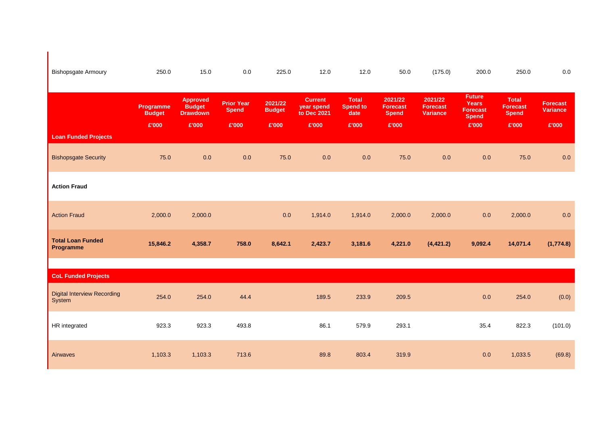| <b>Bishopsgate Armoury</b>                   | 250.0                               | 15.0                                                         | 0.0                                        | 225.0                             | 12.0                                                 | 12.0                                             | 50.0                                                | (175.0)                                       | 200.0                                                                     | 250.0                                                    | 0.0                                         |
|----------------------------------------------|-------------------------------------|--------------------------------------------------------------|--------------------------------------------|-----------------------------------|------------------------------------------------------|--------------------------------------------------|-----------------------------------------------------|-----------------------------------------------|---------------------------------------------------------------------------|----------------------------------------------------------|---------------------------------------------|
| <b>Loan Funded Projects</b>                  | Programme<br><b>Budget</b><br>£'000 | <b>Approved</b><br><b>Budget</b><br><b>Drawdown</b><br>£'000 | <b>Prior Year</b><br><b>Spend</b><br>£'000 | 2021/22<br><b>Budget</b><br>£'000 | <b>Current</b><br>year spend<br>to Dec 2021<br>£'000 | <b>Total</b><br><b>Spend to</b><br>date<br>£'000 | 2021/22<br><b>Forecast</b><br><b>Spend</b><br>£'000 | 2021/22<br><b>Forecast</b><br><b>Variance</b> | <b>Future</b><br><b>Years</b><br><b>Forecast</b><br><b>Spend</b><br>£'000 | <b>Total</b><br><b>Forecast</b><br><b>Spend</b><br>£'000 | <b>Forecast</b><br><b>Variance</b><br>£'000 |
| <b>Bishopsgate Security</b>                  | 75.0                                | 0.0                                                          | $0.0\,$                                    | 75.0                              | 0.0                                                  | 0.0                                              | 75.0                                                | 0.0                                           | 0.0                                                                       | 75.0                                                     | 0.0                                         |
| <b>Action Fraud</b>                          |                                     |                                                              |                                            |                                   |                                                      |                                                  |                                                     |                                               |                                                                           |                                                          |                                             |
| <b>Action Fraud</b>                          | 2,000.0                             | 2,000.0                                                      |                                            | 0.0                               | 1,914.0                                              | 1,914.0                                          | 2,000.0                                             | 2,000.0                                       | 0.0                                                                       | 2,000.0                                                  | 0.0                                         |
| <b>Total Loan Funded</b><br>Programme        | 15,846.2                            | 4,358.7                                                      | 758.0                                      | 8,642.1                           | 2,423.7                                              | 3,181.6                                          | 4,221.0                                             | (4, 421.2)                                    | 9,092.4                                                                   | 14,071.4                                                 | (1,774.8)                                   |
| <b>CoL Funded Projects</b>                   |                                     |                                                              |                                            |                                   |                                                      |                                                  |                                                     |                                               |                                                                           |                                                          |                                             |
| <b>Digital Interview Recording</b><br>System | 254.0                               | 254.0                                                        | 44.4                                       |                                   | 189.5                                                | 233.9                                            | 209.5                                               |                                               | 0.0                                                                       | 254.0                                                    | (0.0)                                       |
| HR integrated                                | 923.3                               | 923.3                                                        | 493.8                                      |                                   | 86.1                                                 | 579.9                                            | 293.1                                               |                                               | 35.4                                                                      | 822.3                                                    | (101.0)                                     |
| Airwaves                                     | 1,103.3                             | 1,103.3                                                      | 713.6                                      |                                   | 89.8                                                 | 803.4                                            | 319.9                                               |                                               | 0.0                                                                       | 1,033.5                                                  | (69.8)                                      |